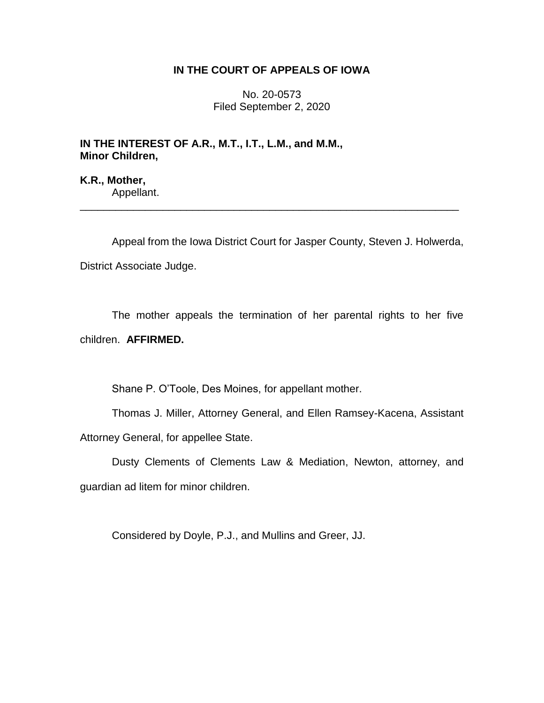## **IN THE COURT OF APPEALS OF IOWA**

No. 20-0573 Filed September 2, 2020

**IN THE INTEREST OF A.R., M.T., I.T., L.M., and M.M., Minor Children,**

**K.R., Mother,** Appellant.

Appeal from the Iowa District Court for Jasper County, Steven J. Holwerda, District Associate Judge.

\_\_\_\_\_\_\_\_\_\_\_\_\_\_\_\_\_\_\_\_\_\_\_\_\_\_\_\_\_\_\_\_\_\_\_\_\_\_\_\_\_\_\_\_\_\_\_\_\_\_\_\_\_\_\_\_\_\_\_\_\_\_\_\_

The mother appeals the termination of her parental rights to her five children. **AFFIRMED.** 

Shane P. O'Toole, Des Moines, for appellant mother.

Thomas J. Miller, Attorney General, and Ellen Ramsey-Kacena, Assistant Attorney General, for appellee State.

Dusty Clements of Clements Law & Mediation, Newton, attorney, and guardian ad litem for minor children.

Considered by Doyle, P.J., and Mullins and Greer, JJ.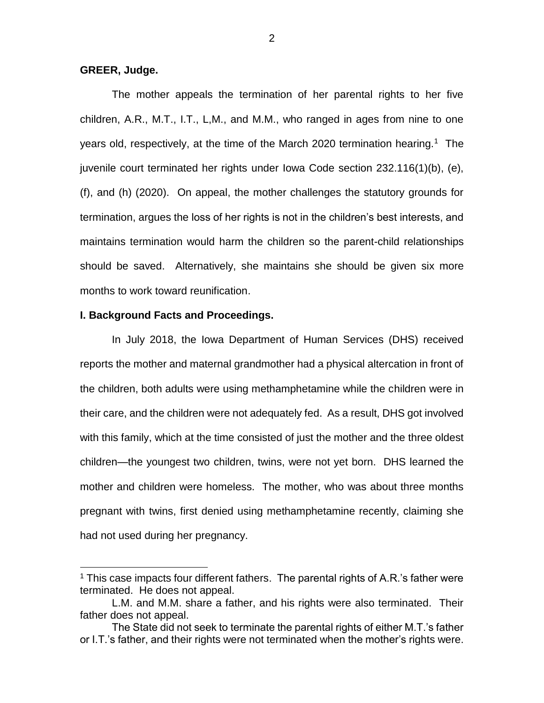**GREER, Judge.**

 $\overline{a}$ 

The mother appeals the termination of her parental rights to her five children, A.R., M.T., I.T., L,M., and M.M., who ranged in ages from nine to one years old, respectively, at the time of the March 2020 termination hearing.<sup>1</sup> The juvenile court terminated her rights under Iowa Code section 232.116(1)(b), (e), (f), and (h) (2020). On appeal, the mother challenges the statutory grounds for termination, argues the loss of her rights is not in the children's best interests, and maintains termination would harm the children so the parent-child relationships should be saved. Alternatively, she maintains she should be given six more months to work toward reunification.

#### **I. Background Facts and Proceedings.**

In July 2018, the Iowa Department of Human Services (DHS) received reports the mother and maternal grandmother had a physical altercation in front of the children, both adults were using methamphetamine while the children were in their care, and the children were not adequately fed. As a result, DHS got involved with this family, which at the time consisted of just the mother and the three oldest children—the youngest two children, twins, were not yet born. DHS learned the mother and children were homeless. The mother, who was about three months pregnant with twins, first denied using methamphetamine recently, claiming she had not used during her pregnancy.

<sup>&</sup>lt;sup>1</sup> This case impacts four different fathers. The parental rights of A.R.'s father were terminated. He does not appeal.

L.M. and M.M. share a father, and his rights were also terminated. Their father does not appeal.

The State did not seek to terminate the parental rights of either M.T.'s father or I.T.'s father, and their rights were not terminated when the mother's rights were.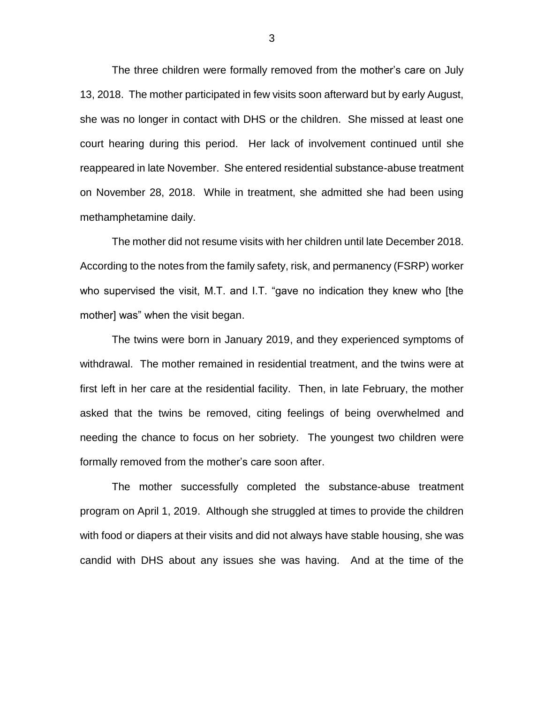The three children were formally removed from the mother's care on July 13, 2018. The mother participated in few visits soon afterward but by early August, she was no longer in contact with DHS or the children. She missed at least one court hearing during this period. Her lack of involvement continued until she reappeared in late November. She entered residential substance-abuse treatment on November 28, 2018. While in treatment, she admitted she had been using methamphetamine daily.

The mother did not resume visits with her children until late December 2018. According to the notes from the family safety, risk, and permanency (FSRP) worker who supervised the visit, M.T. and I.T. "gave no indication they knew who [the mother] was" when the visit began.

The twins were born in January 2019, and they experienced symptoms of withdrawal. The mother remained in residential treatment, and the twins were at first left in her care at the residential facility. Then, in late February, the mother asked that the twins be removed, citing feelings of being overwhelmed and needing the chance to focus on her sobriety. The youngest two children were formally removed from the mother's care soon after.

The mother successfully completed the substance-abuse treatment program on April 1, 2019. Although she struggled at times to provide the children with food or diapers at their visits and did not always have stable housing, she was candid with DHS about any issues she was having. And at the time of the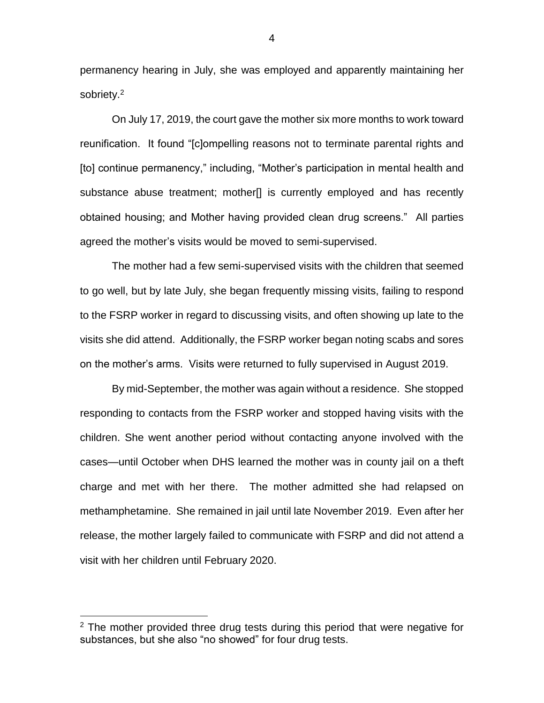permanency hearing in July, she was employed and apparently maintaining her sobriety.<sup>2</sup>

On July 17, 2019, the court gave the mother six more months to work toward reunification. It found "[c]ompelling reasons not to terminate parental rights and [to] continue permanency," including, "Mother's participation in mental health and substance abuse treatment; mother[] is currently employed and has recently obtained housing; and Mother having provided clean drug screens." All parties agreed the mother's visits would be moved to semi-supervised.

The mother had a few semi-supervised visits with the children that seemed to go well, but by late July, she began frequently missing visits, failing to respond to the FSRP worker in regard to discussing visits, and often showing up late to the visits she did attend. Additionally, the FSRP worker began noting scabs and sores on the mother's arms. Visits were returned to fully supervised in August 2019.

By mid-September, the mother was again without a residence. She stopped responding to contacts from the FSRP worker and stopped having visits with the children. She went another period without contacting anyone involved with the cases—until October when DHS learned the mother was in county jail on a theft charge and met with her there. The mother admitted she had relapsed on methamphetamine. She remained in jail until late November 2019. Even after her release, the mother largely failed to communicate with FSRP and did not attend a visit with her children until February 2020.

 $\overline{a}$ 

4

 $2$  The mother provided three drug tests during this period that were negative for substances, but she also "no showed" for four drug tests.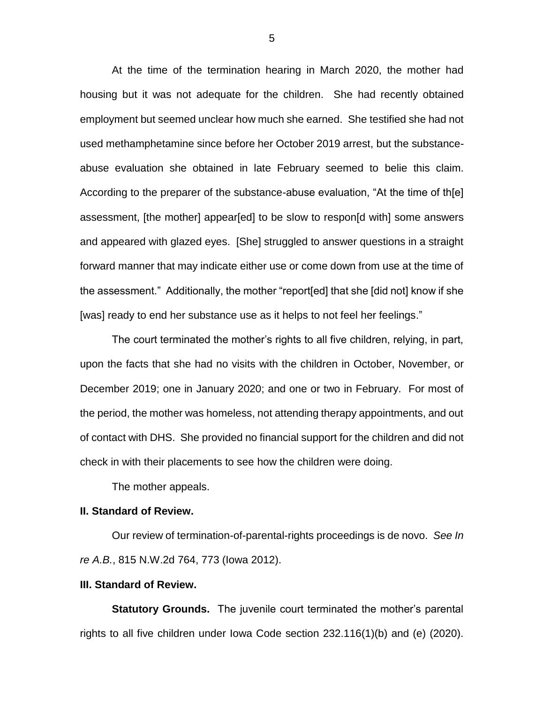At the time of the termination hearing in March 2020, the mother had housing but it was not adequate for the children. She had recently obtained employment but seemed unclear how much she earned. She testified she had not used methamphetamine since before her October 2019 arrest, but the substanceabuse evaluation she obtained in late February seemed to belie this claim. According to the preparer of the substance-abuse evaluation, "At the time of th[e] assessment, [the mother] appear[ed] to be slow to respon[d with] some answers and appeared with glazed eyes. [She] struggled to answer questions in a straight forward manner that may indicate either use or come down from use at the time of the assessment." Additionally, the mother "report[ed] that she [did not] know if she [was] ready to end her substance use as it helps to not feel her feelings."

The court terminated the mother's rights to all five children, relying, in part, upon the facts that she had no visits with the children in October, November, or December 2019; one in January 2020; and one or two in February. For most of the period, the mother was homeless, not attending therapy appointments, and out of contact with DHS. She provided no financial support for the children and did not check in with their placements to see how the children were doing.

The mother appeals.

#### **II. Standard of Review.**

Our review of termination-of-parental-rights proceedings is de novo. *See In re A.B.*, 815 N.W.2d 764, 773 (Iowa 2012).

### **III. Standard of Review.**

**Statutory Grounds.** The juvenile court terminated the mother's parental rights to all five children under Iowa Code section 232.116(1)(b) and (e) (2020).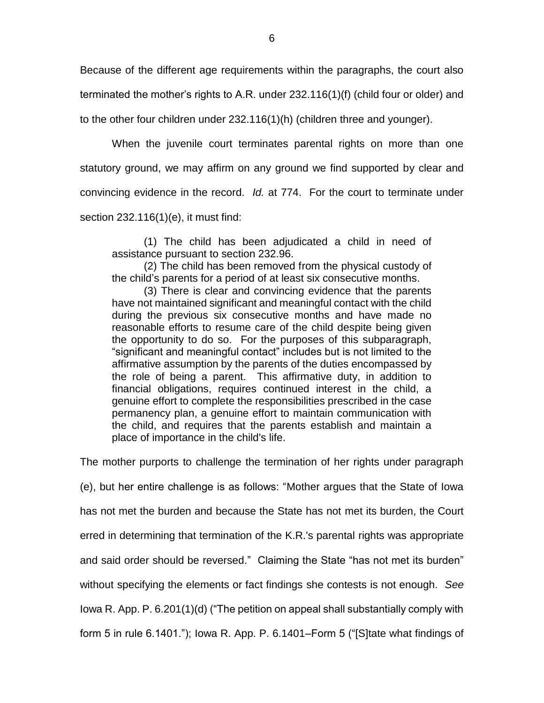Because of the different age requirements within the paragraphs, the court also terminated the mother's rights to A.R. under 232.116(1)(f) (child four or older) and

to the other four children under 232.116(1)(h) (children three and younger).

When the juvenile court terminates parental rights on more than one

statutory ground, we may affirm on any ground we find supported by clear and

convincing evidence in the record. *Id.* at 774. For the court to terminate under

section 232.116(1)(e), it must find:

(1) The child has been adjudicated a child in need of assistance pursuant to section 232.96.

(2) The child has been removed from the physical custody of the child's parents for a period of at least six consecutive months.

(3) There is clear and convincing evidence that the parents have not maintained significant and meaningful contact with the child during the previous six consecutive months and have made no reasonable efforts to resume care of the child despite being given the opportunity to do so. For the purposes of this subparagraph, "significant and meaningful contact" includes but is not limited to the affirmative assumption by the parents of the duties encompassed by the role of being a parent. This affirmative duty, in addition to financial obligations, requires continued interest in the child, a genuine effort to complete the responsibilities prescribed in the case permanency plan, a genuine effort to maintain communication with the child, and requires that the parents establish and maintain a place of importance in the child's life.

The mother purports to challenge the termination of her rights under paragraph

(e), but her entire challenge is as follows: "Mother argues that the State of Iowa has not met the burden and because the State has not met its burden, the Court erred in determining that termination of the K.R.'s parental rights was appropriate and said order should be reversed." Claiming the State "has not met its burden" without specifying the elements or fact findings she contests is not enough. *See* Iowa R. App. P. 6.201(1)(d) ("The petition on appeal shall substantially comply with form 5 in rule 6.1401."); Iowa R. App. P. 6.1401–Form 5 ("[S]tate what findings of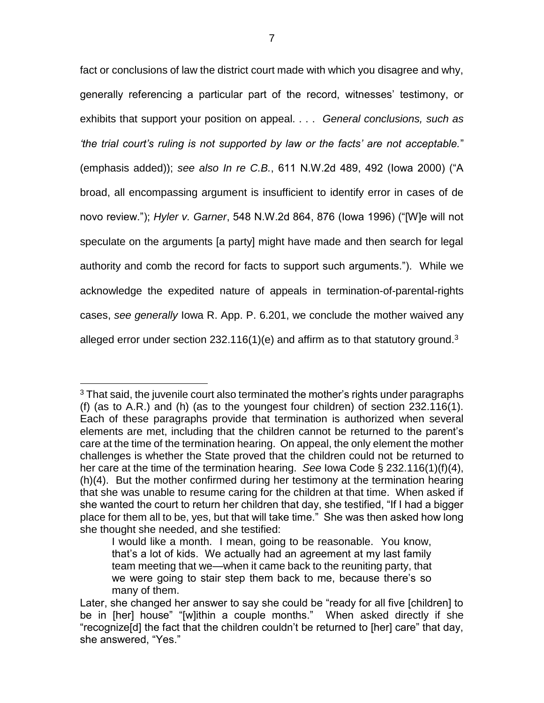fact or conclusions of law the district court made with which you disagree and why, generally referencing a particular part of the record, witnesses' testimony, or exhibits that support your position on appeal. . . . *General conclusions, such as 'the trial court's ruling is not supported by law or the facts' are not acceptable.*" (emphasis added)); *see also In re C.B.*, 611 N.W.2d 489, 492 (Iowa 2000) ("A broad, all encompassing argument is insufficient to identify error in cases of de novo review."); *Hyler v. Garner*, 548 N.W.2d 864, 876 (Iowa 1996) ("[W]e will not speculate on the arguments [a party] might have made and then search for legal authority and comb the record for facts to support such arguments."). While we acknowledge the expedited nature of appeals in termination-of-parental-rights cases, *see generally* Iowa R. App. P. 6.201, we conclude the mother waived any alleged error under section 232.116(1)(e) and affirm as to that statutory ground.<sup>3</sup>

 $\overline{a}$ 

 $3$  That said, the juvenile court also terminated the mother's rights under paragraphs (f) (as to A.R.) and (h) (as to the youngest four children) of section 232.116(1). Each of these paragraphs provide that termination is authorized when several elements are met, including that the children cannot be returned to the parent's care at the time of the termination hearing. On appeal, the only element the mother challenges is whether the State proved that the children could not be returned to her care at the time of the termination hearing. *See* Iowa Code § 232.116(1)(f)(4), (h)(4). But the mother confirmed during her testimony at the termination hearing that she was unable to resume caring for the children at that time. When asked if she wanted the court to return her children that day, she testified, "If I had a bigger place for them all to be, yes, but that will take time." She was then asked how long she thought she needed, and she testified:

I would like a month. I mean, going to be reasonable. You know, that's a lot of kids. We actually had an agreement at my last family team meeting that we—when it came back to the reuniting party, that we were going to stair step them back to me, because there's so many of them.

Later, she changed her answer to say she could be "ready for all five [children] to be in [her] house" "[w]ithin a couple months." When asked directly if she "recognize[d] the fact that the children couldn't be returned to [her] care" that day, she answered, "Yes."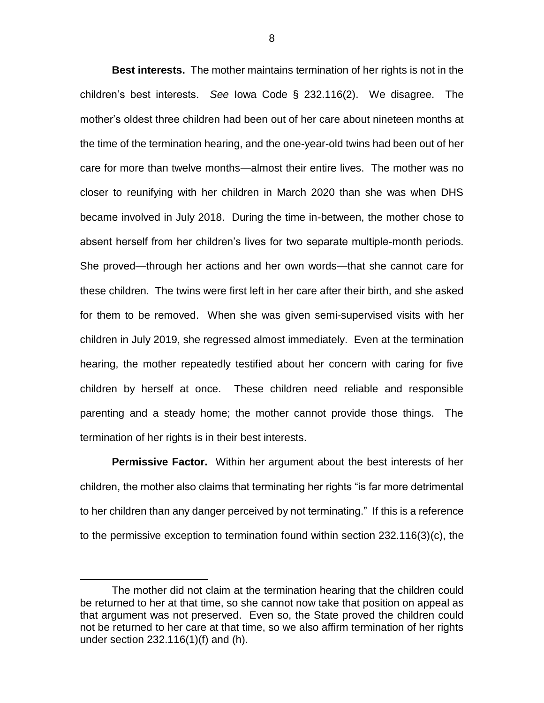**Best interests.** The mother maintains termination of her rights is not in the children's best interests. *See* Iowa Code § 232.116(2).We disagree.The mother's oldest three children had been out of her care about nineteen months at the time of the termination hearing, and the one-year-old twins had been out of her care for more than twelve months—almost their entire lives. The mother was no closer to reunifying with her children in March 2020 than she was when DHS became involved in July 2018. During the time in-between, the mother chose to absent herself from her children's lives for two separate multiple-month periods. She proved—through her actions and her own words—that she cannot care for these children. The twins were first left in her care after their birth, and she asked for them to be removed. When she was given semi-supervised visits with her children in July 2019, she regressed almost immediately. Even at the termination hearing, the mother repeatedly testified about her concern with caring for five children by herself at once. These children need reliable and responsible parenting and a steady home; the mother cannot provide those things. The termination of her rights is in their best interests.

**Permissive Factor.** Within her argument about the best interests of her children, the mother also claims that terminating her rights "is far more detrimental to her children than any danger perceived by not terminating."If this is a reference to the permissive exception to termination found within section 232.116(3)(c), the

 $\overline{a}$ 

The mother did not claim at the termination hearing that the children could be returned to her at that time, so she cannot now take that position on appeal as that argument was not preserved. Even so, the State proved the children could not be returned to her care at that time, so we also affirm termination of her rights under section 232.116(1)(f) and (h).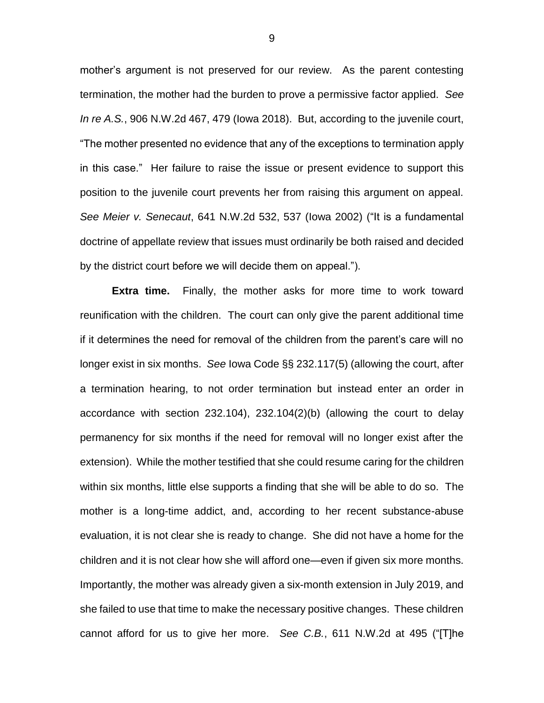mother's argument is not preserved for our review.As the parent contesting termination, the mother had the burden to prove a permissive factor applied. *See In re A.S.*, 906 N.W.2d 467, 479 (Iowa 2018). But, according to the juvenile court, "The mother presented no evidence that any of the exceptions to termination apply in this case." Her failure to raise the issue or present evidence to support this position to the juvenile court prevents her from raising this argument on appeal. *See Meier v. Senecaut*, 641 N.W.2d 532, 537 (Iowa 2002) ("It is a fundamental doctrine of appellate review that issues must ordinarily be both raised and decided by the district court before we will decide them on appeal.").

**Extra time.** Finally, the mother asks for more time to work toward reunification with the children. The court can only give the parent additional time if it determines the need for removal of the children from the parent's care will no longer exist in six months. *See* Iowa Code §§ 232.117(5) (allowing the court, after a termination hearing, to not order termination but instead enter an order in accordance with section 232.104), 232.104(2)(b) (allowing the court to delay permanency for six months if the need for removal will no longer exist after the extension). While the mother testified that she could resume caring for the children within six months, little else supports a finding that she will be able to do so. The mother is a long-time addict, and, according to her recent substance-abuse evaluation, it is not clear she is ready to change. She did not have a home for the children and it is not clear how she will afford one—even if given six more months. Importantly, the mother was already given a six-month extension in July 2019, and she failed to use that time to make the necessary positive changes. These children cannot afford for us to give her more. *See C.B.*, 611 N.W.2d at 495 ("[T]he